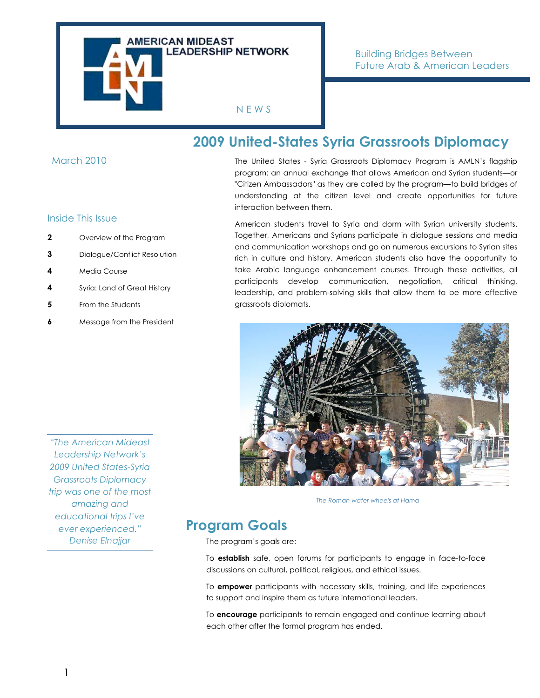

#### March 2010

#### Inside This Issue

- **2** Overview of the Program
- **3** Dialogue/Conflict Resolution
- **4** Media Course
- **4** Syria: Land of Great History
- **5** From the Students
- **6** Message from the President

The United States - Syria Grassroots Diplomacy Program is AMLN's flagship program: an annual exchange that allows American and Syrian students—or "Citizen Ambassadors" as they are called by the program—to build bridges of understanding at the citizen level and create opportunities for future interaction between them.

**2009 United-States Syria Grassroots Diplomacy**

American students travel to Syria and dorm with Syrian university students. Together, Americans and Syrians participate in dialogue sessions and media and communication workshops and go on numerous excursions to Syrian sites rich in culture and history. American students also have the opportunity to take Arabic language enhancement courses. Through these activities, all participants develop communication, negotiation, critical thinking, leadership, and problem-solving skills that allow them to be more effective grassroots diplomats.



*The Roman water wheels at Hama*

## **Program Goals**

The program's goals are:

To **establish** safe, open forums for participants to engage in face-to-face discussions on cultural, political, religious, and ethical issues.

To **empower** participants with necessary skills, training, and life experiences to support and inspire them as future international leaders.

To **encourage** participants to remain engaged and continue learning about each other after the formal program has ended.

*"The American Mideast Leadership Network's 2009 United States-Syria Grassroots Diplomacy trip was one of the most amazing and educational trips I've ever experienced." Denise Elnajjar*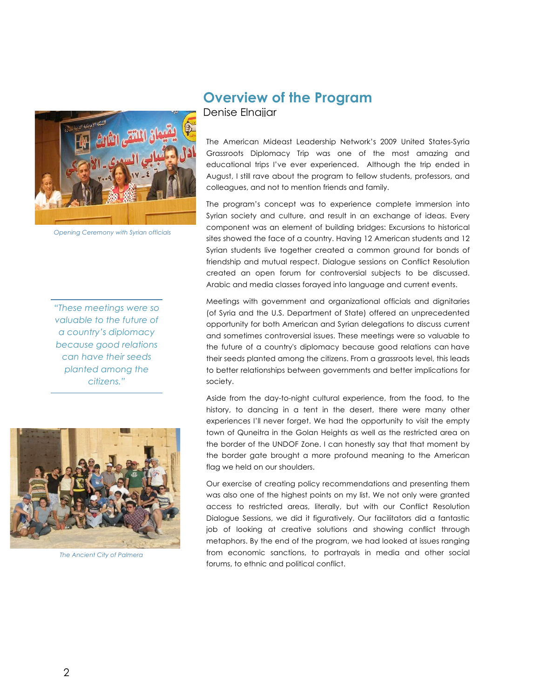

*Opening Ceremony with Syrian officials*

*"These meetings were so valuable to the future of a country's diplomacy because good relations can have their seeds planted among the citizens."*



*The Ancient City of Palmera*

# **Overview of the Program**

Denise Elnajiar

The American Mideast Leadership Network's 2009 United States-Syria Grassroots Diplomacy Trip was one of the most amazing and educational trips I've ever experienced. Although the trip ended in August, I still rave about the program to fellow students, professors, and colleagues, and not to mention friends and family.

The program's concept was to experience complete immersion into Syrian society and culture, and result in an exchange of ideas. Every component was an element of building bridges: Excursions to historical sites showed the face of a country. Having 12 American students and 12 Syrian students live together created a common ground for bonds of friendship and mutual respect. Dialogue sessions on Conflict Resolution created an open forum for controversial subjects to be discussed. Arabic and media classes forayed into language and current events.

Meetings with government and organizational officials and dignitaries (of Syria and the U.S. Department of State) offered an unprecedented opportunity for both American and Syrian delegations to discuss current and sometimes controversial issues. These meetings were so valuable to the future of a country's diplomacy because good relations can have their seeds planted among the citizens. From a grassroots level, this leads to better relationships between governments and better implications for society.

Aside from the day-to-night cultural experience, from the food, to the history, to dancing in a tent in the desert, there were many other experiences I'll never forget. We had the opportunity to visit the empty town of Quneitra in the Golan Heights as well as the restricted area on the border of the UNDOF Zone. I can honestly say that that moment by the border gate brought a more profound meaning to the American flag we held on our shoulders.

Our exercise of creating policy recommendations and presenting them was also one of the highest points on my list. We not only were granted access to restricted areas, literally, but with our Conflict Resolution Dialogue Sessions, we did it figuratively. Our facilitators did a fantastic job of looking at creative solutions and showing conflict through metaphors. By the end of the program, we had looked at issues ranging from economic sanctions, to portrayals in media and other social forums, to ethnic and political conflict.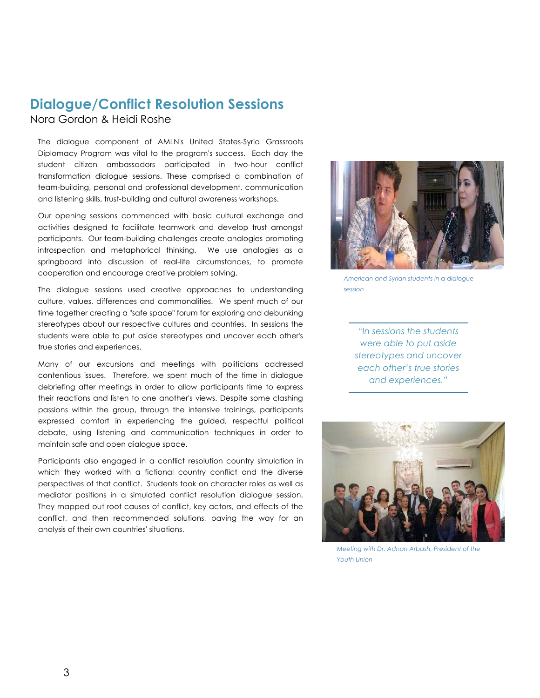## **Dialogue/Conflict Resolution Sessions**

Nora Gordon & Heidi Roshe

The dialogue component of AMLN's United States-Syria Grassroots Diplomacy Program was vital to the program's success. Each day the student citizen ambassadors participated in two-hour conflict transformation dialogue sessions. These comprised a combination of team-building, personal and professional development, communication and listening skills, trust-building and cultural awareness workshops.

 springboard into discussion of real-life circumstances, to promote Our opening sessions commenced with basic cultural exchange and activities designed to facilitate teamwork and develop trust amongst participants. Our team-building challenges create analogies promoting introspection and metaphorical thinking. We use analogies as a cooperation and encourage creative problem solving.

The dialogue sessions used creative approaches to understanding culture, values, differences and commonalities. We spent much of our time together creating a "safe space" forum for exploring and debunking stereotypes about our respective cultures and countries. In sessions the students were able to put aside stereotypes and uncover each other's true stories and experiences.

Many of our excursions and meetings with politicians addressed contentious issues. Therefore, we spent much of the time in dialogue debriefing after meetings in order to allow participants time to express their reactions and listen to one another's views. Despite some clashing passions within the group, through the intensive trainings, participants expressed comfort in experiencing the guided, respectful political debate, using listening and communication techniques in order to maintain safe and open dialogue space.

Participants also engaged in a conflict resolution country simulation in which they worked with a fictional country conflict and the diverse perspectives of that conflict. Students took on character roles as well as mediator positions in a simulated conflict resolution dialogue session. They mapped out root causes of conflict, key actors, and effects of the conflict, and then recommended solutions, paving the way for an analysis of their own countries' situations.



*American and Syrian students in a dialogue session*

*"In sessions the students were able to put aside stereotypes and uncover each other's true stories and experiences."*



*Meeting with Dr. Adnan Arbash, President of the Youth Union*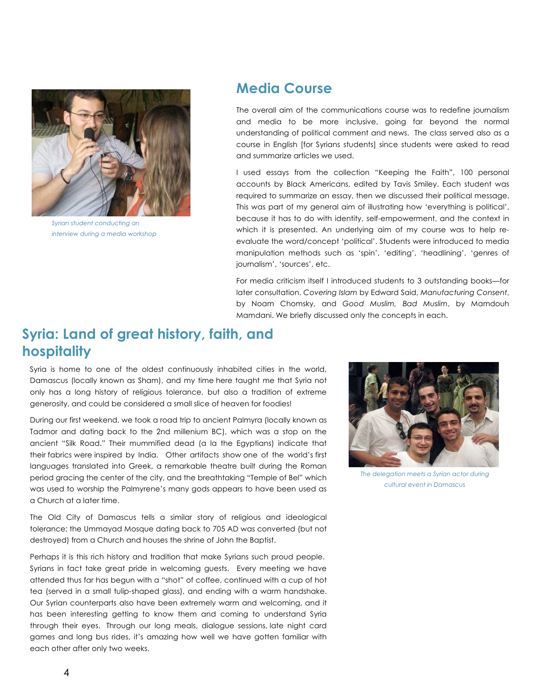

*Syrian student conducting an interview during a media workshop*

### **Media Course**

The overall aim of the communications course was to redefine journalism and media to be more inclusive, going far beyond the normal understanding of political comment and news. The class served also as a course in English [for Syrians students] since students were asked to read and summarize articles we used.

I used essays from the collection "Keeping the Faith", 100 personal accounts by Black Americans, edited by Tavis Smiley. Each student was required to summarize an essay, then we discussed their political message. This was part of my general aim of illustrating how 'everything is political', because it has to do with identity, self-empowerment, and the context in which it is presented. An underlying aim of my course was to help reevaluate the word/concept 'political'. Students were introduced to media manipulation methods such as 'spin', 'editing', 'headlining', 'genres of journalism', 'sources', etc.

For media criticism itself I introduced students to 3 outstanding books—for later consultation. *Covering Islam* by Edward Said, *Manufacturing Consent*, by Noam Chomsky, and *Good Muslim, Bad Muslim*, by Mamdouh Mamdani. We briefly discussed only the concepts in each.

## **Syria: Land of great history, faith, and hospitality**

Syria is home to one of the oldest continuously inhabited cities in the world, Damascus (locally known as Sham), and my time here taught me that Syria not only has a long history of religious tolerance, but also a tradition of extreme generosity, and could be considered a small slice of heaven for foodies!

During our first weekend, we took a road trip to ancient Palmyra (locally known as Tadmor and dating back to the 2nd millenium BC), which was a stop on the ancient "Silk Road." Their mummified dead (a la the Egyptians) indicate that their fabrics were inspired by India. Other artifacts show one of the world's first languages translated into Greek, a remarkable theatre built during the Roman period gracing the center of the city, and the breathtaking "Temple of Bel" which was used to worship the Palmyrene's many gods appears to have been used as a Church at a later time.

The Old City of Damascus tells a similar story of religious and ideological tolerance; the Ummayad Mosque dating back to 705 AD was converted (but not destroyed) from a Church and houses the shrine of John the Baptist.

Perhaps it is this rich history and tradition that make Syrians such proud people. Syrians in fact take great pride in welcoming guests. Every meeting we have attended thus far has begun with a "shot" of coffee, continued with a cup of hot tea (served in a small tulip-shaped glass), and ending with a warm handshake. Our Syrian counterparts also have been extremely warm and welcoming, and it has been interesting getting to know them and coming to understand Syria through their eyes. Through our long meals, dialogue sessions, late night card games and long bus rides, it's amazing how well we have gotten familiar with each other after only two weeks.



*The delegation meets a Syrian actor during cultural event in Damascus*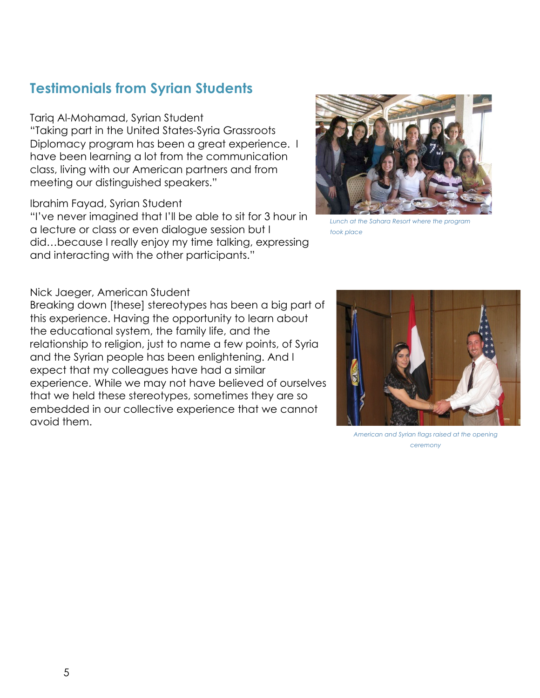## **Testimonials from Syrian Students**

#### Tariq Al-Mohamad, Syrian Student

"Taking part in the United States-Syria Grassroots Diplomacy program has been a great experience. I have been learning a lot from the communication class, living with our American partners and from meeting our distinguished speakers."

#### Ibrahim Fayad, Syrian Student

"I've never imagined that I'll be able to sit for 3 hour in a lecture or class or even dialogue session but I did…because I really enjoy my time talking, expressing and interacting with the other participants."



*Lunch at the Sahara Resort where the program took place*

#### Nick Jaeger, American Student

Breaking down [these] stereotypes has been a big part of this experience. Having the opportunity to learn about the educational system, the family life, and the relationship to religion, just to name a few points, of Syria and the Syrian people has been enlightening. And I expect that my colleagues have had a similar experience. While we may not have believed of ourselves that we held these stereotypes, sometimes they are so embedded in our collective experience that we cannot avoid them.



*American and Syrian flags raised at the opening ceremony*